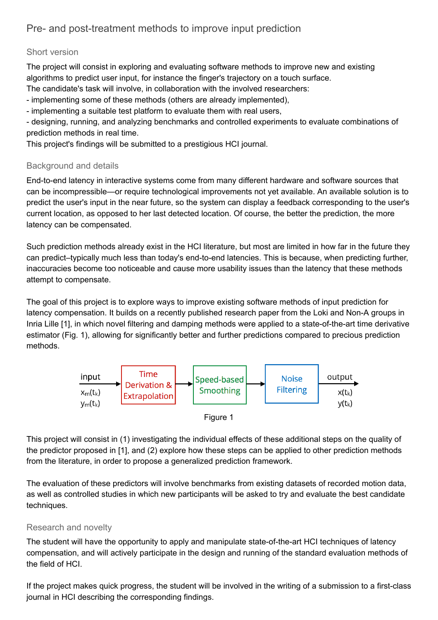# Pre- and post-treatment methods to improve input prediction

### Short version

The project will consist in exploring and evaluating software methods to improve new and existing algorithms to predict user input, for instance the finger's trajectory on a touch surface.

The candidate's task will involve, in collaboration with the involved researchers:

implementing some of these methods (others are already implemented),

implementing a suitable test platform to evaluate them with real users,

 designing, running, and analyzing benchmarks and controlled experiments to evaluate combinations of prediction methods in real time.

This project's findings will be submitted to a prestigious HCI journal.

### Background and details

End-to-end latency in interactive systems come from many different hardware and software sources that can be incompressible—or require technological improvements not yet available. An available solution is to predict the user's input in the near future, so the system can display a feedback corresponding to the user's current location, as opposed to her last detected location. Of course, the better the prediction, the more latency can be compensated.

Such prediction methods already exist in the HCI literature, but most are limited in how far in the future they can predict–typically much less than today's end-to-end latencies. This is because, when predicting further, inaccuracies become too noticeable and cause more usability issues than the latency that these methods attempt to compensate.

The goal of this project is to explore ways to improve existing software methods of input prediction for latency compensation. It builds on a recently published research paper from the Loki and Non-A groups in Inria Lille [1], in which novel filtering and damping methods were applied to a state-of-the-art time derivative estimator (Fig. 1), allowing for significantly better and further predictions compared to precious prediction methods.



Figure 1

This project will consist in (1) investigating the individual effects of these additional steps on the quality of the predictor proposed in [1], and (2) explore how these steps can be applied to other prediction methods from the literature, in order to propose a generalized prediction framework.

The evaluation of these predictors will involve benchmarks from existing datasets of recorded motion data, as well as controlled studies in which new participants will be asked to try and evaluate the best candidate techniques.

### Research and novelty

The student will have the opportunity to apply and manipulate state-of-the-art HCI techniques of latency compensation, and will actively participate in the design and running of the standard evaluation methods of the field of HCI.

If the project makes quick progress, the student will be involved in the writing of a submission to a first-class journal in HCI describing the corresponding findings.